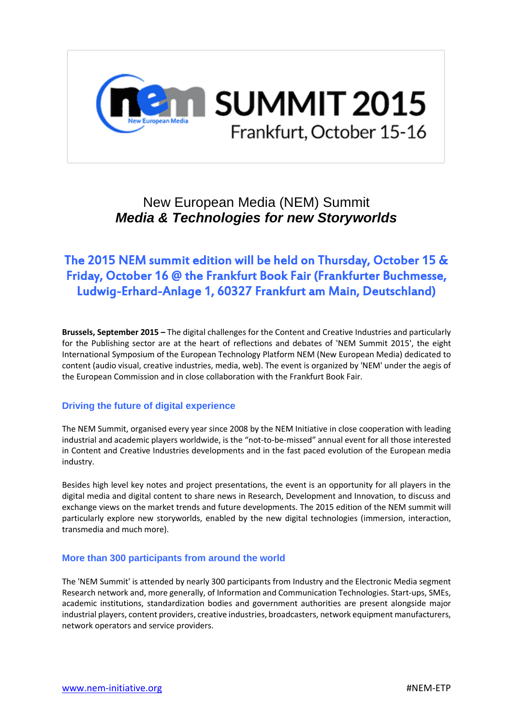

# New European Media (NEM) Summit *Media & Technologies for new Storyworlds*

## The 2015 [NEM summit](http://nem-initiative.org/nem-summit/) edition will be held on Thursday, October 15 & Friday, October 16 @ the [Frankfurt Book Fair](http://www.buchmesse.de/en/) (Frankfurter Buchmesse, Ludwig-Erhard-Anlage 1, 60327 Frankfurt am Main, Deutschland)

**Brussels, September 2015 –** The digital challenges for the Content and Creative Industries and particularly for the Publishing sector are at the heart of reflections and debates of 'NEM Summit 2015', the eight International Symposium of the European Technology Platform NEM (New European Media) dedicated to content (audio visual, creative industries, media, web). The event is organized by 'NEM' under the aegis of the European Commission and in close collaboration with the Frankfurt Book Fair.

#### **Driving the future of digital experience**

The NEM Summit, organised every year since 2008 by th[e NEM Initiative](http://www.nem-initiative.org/) in close cooperation with leading industrial and academic players worldwide, is the "not-to-be-missed" annual event for all those interested in Content and Creative Industries developments and in the fast paced evolution of the European media industry.

Besides high level key notes and project presentations, the event is an opportunity for all players in the digital media and digital content to share news in Research, Development and Innovation, to discuss and exchange views on the market trends and future developments. The 2015 edition of the NEM summit will particularly explore new storyworlds, enabled by the new digital technologies (immersion, interaction, transmedia and much more).

#### **More than 300 participants from around the world**

The 'NEM Summit' is attended by nearly 300 participants from Industry and the Electronic Media segment Research network and, more generally, of Information and Communication Technologies. Start-ups, SMEs, academic institutions, standardization bodies and government authorities are present alongside major industrial players, content providers, creative industries, broadcasters, network equipment manufacturers, network operators and service providers.